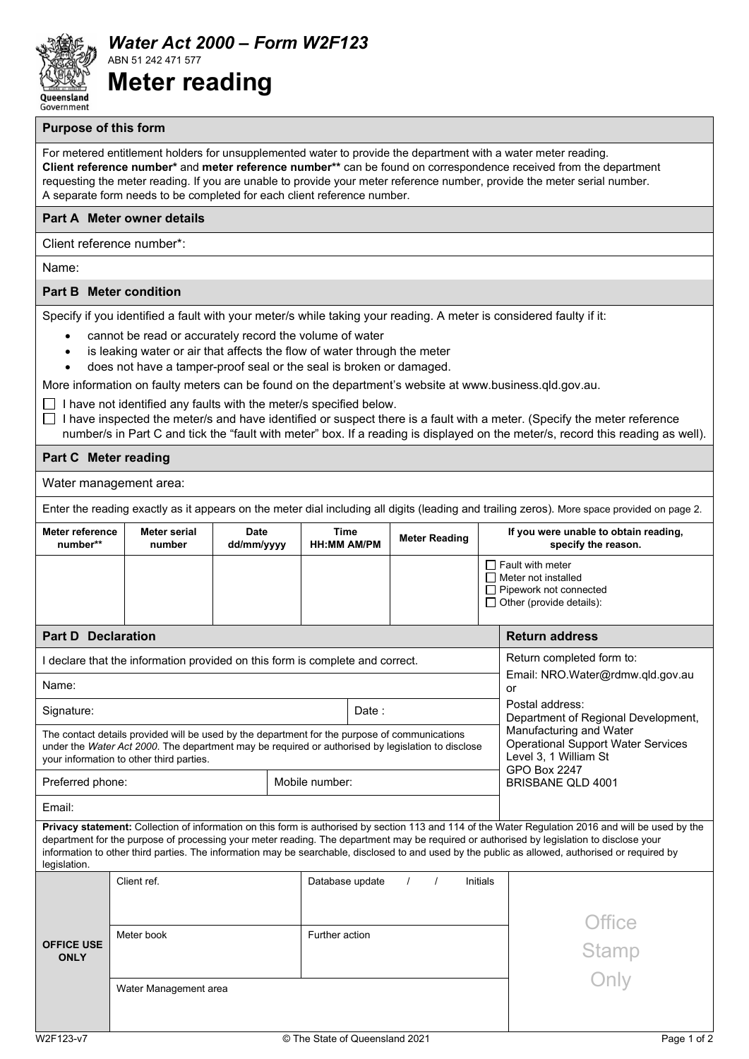

*Water Act 2000 – Form W2F123* ABN 51 242 471 577 **Meter reading**

## **Purpose of this form**

For metered entitlement holders for unsupplemented water to provide the department with a water meter reading. **Client reference number\*** and **meter reference number\*\*** can be found on correspondence received from the department requesting the meter reading. If you are unable to provide your meter reference number, provide the meter serial number. A separate form needs to be completed for each client reference number.

## **Part A Meter owner details**

Client reference number\*:

Name:

## **Part B Meter condition**

Specify if you identified a fault with your meter/s while taking your reading. A meter is considered faulty if it:

- cannot be read or accurately record the volume of water
- is leaking water or air that affects the flow of water through the meter
- does not have a tamper-proof seal or the seal is broken or damaged.

More information on faulty meters can be found on the department's website at www.business.qld.gov.au.

 $\Box$  I have not identified any faults with the meter/s specified below.

 $\Box$  I have inspected the meter/s and have identified or suspect there is a fault with a meter. (Specify the meter reference number/s in Part C and tick the "fault with meter" box. If a reading is displayed on the meter/s, record this reading as well).

## **Part C Meter reading**

Water management area:

Enter the reading exactly as it appears on the meter dial including all digits (leading and trailing zeros). More space provided on page 2.

| <b>Meter reference</b><br>number**                                                                                                                                                                                                                                                                                                                                                                                                                                   | Meter serial<br>number | <b>Date</b><br>dd/mm/yyyy | Time<br><b>HH:MM AM/PM</b> |  | <b>Meter Reading</b> |          |                                                        | If you were unable to obtain reading,<br>specify the reason. |                                                                                                                           |
|----------------------------------------------------------------------------------------------------------------------------------------------------------------------------------------------------------------------------------------------------------------------------------------------------------------------------------------------------------------------------------------------------------------------------------------------------------------------|------------------------|---------------------------|----------------------------|--|----------------------|----------|--------------------------------------------------------|--------------------------------------------------------------|---------------------------------------------------------------------------------------------------------------------------|
|                                                                                                                                                                                                                                                                                                                                                                                                                                                                      |                        |                           |                            |  |                      |          |                                                        |                                                              | $\Box$ Fault with meter<br>$\Box$ Meter not installed<br>$\Box$ Pipework not connected<br>$\Box$ Other (provide details): |
| <b>Part D Declaration</b>                                                                                                                                                                                                                                                                                                                                                                                                                                            |                        |                           |                            |  |                      |          |                                                        |                                                              | <b>Return address</b>                                                                                                     |
| I declare that the information provided on this form is complete and correct.                                                                                                                                                                                                                                                                                                                                                                                        |                        |                           |                            |  |                      |          |                                                        |                                                              | Return completed form to:                                                                                                 |
| Email: NRO.Water@rdmw.qld.gov.au<br>Name:<br>or                                                                                                                                                                                                                                                                                                                                                                                                                      |                        |                           |                            |  |                      |          |                                                        |                                                              |                                                                                                                           |
| Signature:                                                                                                                                                                                                                                                                                                                                                                                                                                                           | Date:                  |                           |                            |  |                      |          | Postal address:<br>Department of Regional Development, |                                                              |                                                                                                                           |
| Manufacturing and Water<br>The contact details provided will be used by the department for the purpose of communications<br><b>Operational Support Water Services</b><br>under the Water Act 2000. The department may be required or authorised by legislation to disclose<br>Level 3, 1 William St<br>your information to other third parties.<br><b>GPO Box 2247</b>                                                                                               |                        |                           |                            |  |                      |          |                                                        |                                                              |                                                                                                                           |
| Preferred phone:                                                                                                                                                                                                                                                                                                                                                                                                                                                     |                        |                           | Mobile number:             |  |                      |          |                                                        |                                                              | <b>BRISBANE OLD 4001</b>                                                                                                  |
| Email:                                                                                                                                                                                                                                                                                                                                                                                                                                                               |                        |                           |                            |  |                      |          |                                                        |                                                              |                                                                                                                           |
| Privacy statement: Collection of information on this form is authorised by section 113 and 114 of the Water Regulation 2016 and will be used by the<br>department for the purpose of processing your meter reading. The department may be required or authorised by legislation to disclose your<br>information to other third parties. The information may be searchable, disclosed to and used by the public as allowed, authorised or required by<br>legislation. |                        |                           |                            |  |                      |          |                                                        |                                                              |                                                                                                                           |
|                                                                                                                                                                                                                                                                                                                                                                                                                                                                      | Client ref.            |                           | Database update            |  | $\prime$             | $\prime$ |                                                        | Initials                                                     |                                                                                                                           |
| <b>OFFICE USE</b><br><b>ONLY</b>                                                                                                                                                                                                                                                                                                                                                                                                                                     | Meter book             | Further action            |                            |  |                      |          | <b>Office</b>                                          |                                                              |                                                                                                                           |
|                                                                                                                                                                                                                                                                                                                                                                                                                                                                      |                        |                           |                            |  |                      |          |                                                        |                                                              | Stamp<br>Only                                                                                                             |
|                                                                                                                                                                                                                                                                                                                                                                                                                                                                      |                        |                           |                            |  |                      |          |                                                        |                                                              |                                                                                                                           |
|                                                                                                                                                                                                                                                                                                                                                                                                                                                                      | Water Management area  |                           |                            |  |                      |          |                                                        |                                                              |                                                                                                                           |